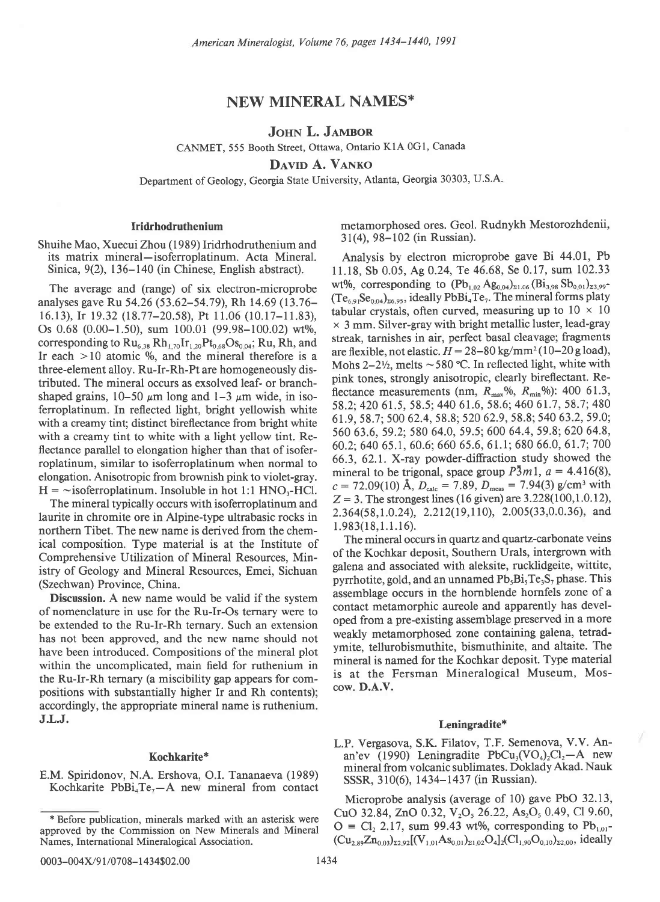# NEW MINERAL NAMES\*

# JOHN L. JAMBOR

CANMET, 555 Booth Street, Ottawa, Ontario K1A 0G1, Canada

DAVID A. VANKO

Department of Geology, Georgia State University, Atlanta, Georgia 30303, U.S.A.

## Iridrhodruthenium

Shuihe Mao, Xuecui Zhou (1989) Iridrhodruthenium and its matrix mineral-isoferroplatinum. Acta Mineral. Sinica, 9(2), 136-140 (in Chinese, English abstract).

The average and (range) of six electron-microprobe analyses gave Ru 54.26 (53.62-54.79), Rh 14.69 (13.76- 16.13), lr 19.32 (18.77-20.58), Pt I1.06 (10.17-l1.83), Os  $0.68$  (0.00-1.50), sum  $100.01$  (99.98-100.02) wt%, corresponding to  $Ru_{6,38} Rh_{1,70} Ir_{1,20} Pt_{0,68} Os_{0,04}$ ; Ru, Rh, and Ir each  $> 10$  atomic %, and the mineral therefore is a three-element alloy. Ru-Ir-Rh-Pt are homogeneously distributed. The mineral occurs as exsolved leaf- or branchshaped grains,  $10-50 \mu m$  long and  $1-3 \mu m$  wide, in isoferroplatinum. In reflected light, bright yellowish white with a creamy tint; distinct bireflectance from bright white with a creamy tint to white with a light yellow tint. Reflectance parallel to elongation higher than that of isoferroplatinum, similar to isoferroplatinum when normal to elongation. Anisotropic from brownish pink to violet-gray.  $H = -i\text{softmax}$  isoferroplatinum. Insoluble in hot 1:1 HNO<sub>3</sub>-HCl.

The mineral typically occurs with isoferroplatinum and laurite in chromite ore in Alpine-type ultrabasic rocks in northern Tibet. The new name is derived from the chemical composition. Type material is at the Institute of Comprehensive Utilization of Mineral Resources, Ministry of Geology and Mineral Resources, Emei, Sichuan (Szechwan) Province, China.

Discussion. A new name would be valid if the system of nomenclature in use for the Ru-Ir-Os ternary were to be extended to the Ru-Ir-Rh ternary. Such an extension has not been approved, and the new name should not have been introduced. Compositions of the mineral plot within the uncomplicated, main field for ruthenium in the Ru-Ir-Rh ternary (a miscibility gap appears for compositions with substantially higher Ir and Rh contents); accordingly, the appropriate mineral name is ruthenium. J.L.J.

## Kochkarite\*

E.M. Spiridonov, N.A. Ershova, O.I. Tananaeva (1989) Kochkarite PbBi<sub>4</sub>Te<sub>7</sub> $-A$  new mineral from contact metamorphosed ores. Geol. Rudnykh Mestorozhdenii, 3 I (4), 98-102 (in Russian).

Analysis by electron microprobe gave Bi 44.01, Pb ll.18, Sb 0.05, Ag 0.24,Te 46.68, Se 0.17, sum 102.33 wt%, corresponding to  $(Pb_{1,02}Ag_{0,04})_{21,06} (Bi_{3,98}Sb_{0,01})_{23,99}$ - $(Te_{6.91}Se_{0.04})_{26.95}$ , ideally PbBi<sub>4</sub>Te<sub>7</sub>. The mineral forms platy tabular crystals, often curved, measuring up to  $10 \times 10$  $\times$  3 mm. Silver-gray with bright metallic luster, lead-gray streak, tarnishes in air, perfect basal cleavage; fragments are flexible, not elastic.  $H = 28-80$  kg/mm<sup>2</sup> (10-20 g load), Mohs  $2-2\frac{1}{2}$ , melts  $\sim$  580 °C. In reflected light, white with pink tones, strongly anisotropic, clearly bireflectant. Reflectance measurements (nm,  $R_{\text{max}}$ %,  $R_{\text{min}}$ %): 400 61.3, 58.2; 420 61.5, 58.5; 440 61.6, 58.6; 460 61.7, 58.7; 480 61.9, 58.7; 500 62.4,58.8; 520 62.9, 58.8;540 63.2, 59.0; 560 63.6,59.2; 580 64.0,59.5;600 64.4,59.8;620 64.8, 60.2: 640 65.1, 60.6; 660 65.6, 61.1; 680 66.0, 61.7; 700 66.3, 62.1. X-ray powder-diffraction study showed the mineral to be trigonal, space group  $\overline{P3}m1$ ,  $a = 4.416(8)$ ,  $c = 72.09(10)$  Å,  $D_{\text{calc}} = 7.89$ ,  $D_{\text{meas}} = 7.94(3)$  g/cm<sup>3</sup> with  $Z = 3$ . The strongest lines (16 given) are 3.228(100,1.0.12), 2.364(58,1.0.24), 2.212(19,110), 2.005(33,0.0.36), and 1.983(18,1.1.16).

The mineral occurs in quartz and quartz-carbonate veins of the Kochkar deposit, Southern Urals, intergrown with galena and associated with aleksite, rucklidgeite, wittite, pyrrhotite, gold, and an unnamed Pb<sub>5</sub>Bi<sub>5</sub>Te<sub>3</sub>S<sub>7</sub> phase. This assemblage occurs in the hornblende hornfels zone of a contact metamorphic aureole and apparently has developed from a pre-existing assemblage preserved in a more weakly metamorphosed zone containing galena, tetradymite, tellurobismuthite, bismuthinite, and altaite. The mineral is named for the Kochkar deposit. Type material is at the Fersman Mineralogical Museum, Moscow. D.A.V.

### Leningradite\*

L.P. Vergasova, S.K. Filatov, T.F. Semenova, V.V. Anan'ev (1990) Leningradite PbCu<sub>3</sub>(VO<sub>4</sub>)<sub>2</sub>Cl<sub>2</sub>-A new mineral from volcanic sublimates. Doklady Akad. Nauk SSSR, 3 10(6), 1434-1437 (in Russian).

Microprobe analysis (average of 10) gave PbO 32.13, CuO 32.84, ZnO 0.32,  $V_2O_5$  26.22, As<sub>2</sub>O<sub>5</sub> 0.49, Cl 9.60,  $O = Cl<sub>2</sub> 2.17$ , sum 99.43 wt%, corresponding to Pb<sub>1.01</sub>- $(Cu_{2.89}Zn_{0.03})_{22.92}[(V_{1.01}As_{0.01})_{21.02}O_4]_2(Cl_{1.90}O_{0.10})_{22.00}$ , ideally

<sup>\*</sup> Before publication, minerals marked with an asterisk were approved by the Commission on New Minerals and Mineral Names, International Mineralogical Association.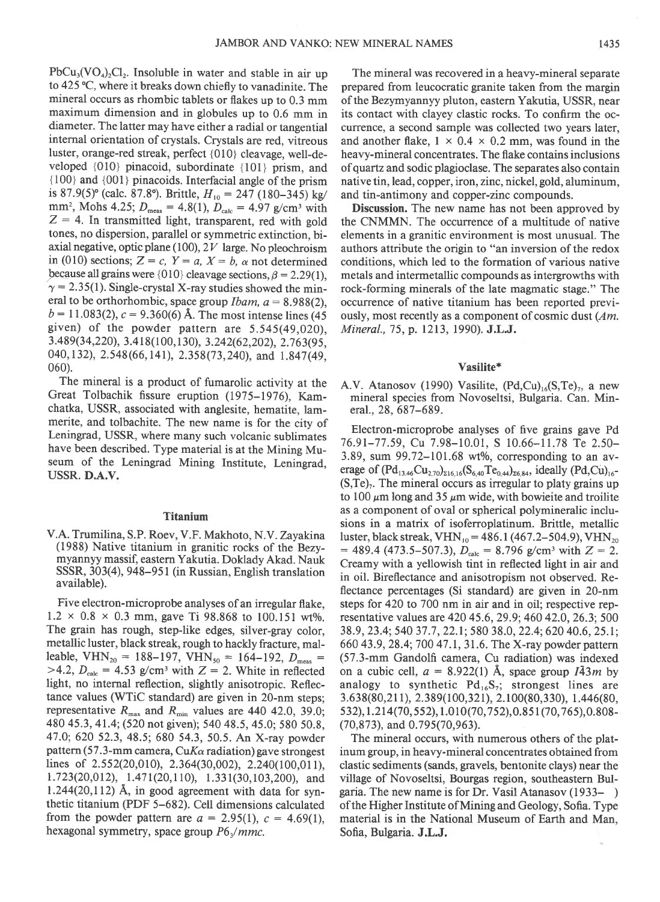$PbCu<sub>3</sub>(VO<sub>4</sub>)<sub>2</sub>Cl<sub>2</sub>$ . Insoluble in water and stable in air up to 425 °C, where it breaks down chiefly to vanadinite. The mineral occurs as rhombic tablets or flakes up to 0.3 mm maximum dimension and in globules up to 0.6 mm in diameter. The latter may have either a radial or tangential internal orientation of crystals. Crystals are red, vitreous luster, orange-red streak, perfect {010} cleavage, well-developed {010} pinacoid, subordinate {101} prism, and  ${100}$  and  ${001}$  pinacoids. Interfacial angle of the prism is 87.9(5)° (calc. 87.8°). Brittle,  $H_{10} = 247$  (180–345) kg/ mm<sup>2</sup>, Mohs 4.25;  $D_{\text{meas}} = 4.8(1)$ ,  $D_{\text{calc}} = 4.97$  g/cm<sup>3</sup> with  $Z = 4$ . In transmitted light, transparent, red with gold tones, no dispersion, parallel or symmetric extinction, biaxial negative, optic plane (100),  $2V$  large. No pleochroism in (010) sections;  $Z = c$ ,  $Y = a$ ,  $X = b$ ,  $\alpha$  not determined because all grains were {010} cleavage sections,  $\beta = 2.29(1)$ ,  $\gamma = 2.35(1)$ . Single-crystal X-ray studies showed the mineral to be orthorhombic, space group *Ibam*,  $a = 8.988(2)$ ,  $b = 11.083(2), c = 9.360(6)$  Å. The most intense lines (45) given) of the powder pattern are 5.545(49,020), 3.489(34,220), 3.418(100,130), 3.242(62,202), 2.763(95, 040, 132), 2.548 (66, 141), 2.358 (73, 240), and 1.847 (49, 060).

The mineral is a product of fumarolic activity at the Great Tolbachik fissure eruption (1975-1976), Kamchatka, USSR, associated with anglesite, hematite, lammerite, and tolbachite. The new name is for the city of Leningrad, USSR, where many such volcanic sublimates have been described. Type material is at the Mining Museum of the Leningrad Mining Institute, Leningrad, USSR. D.A.V.

## Titanium

V.A. Trumilina, S.P. Roev, V.F. Makhoto, N.V. Zayakina (1988) Native titanium in granitic rocks of the Bezymyannyy massif, eastern Yakutia. Doklady Akad. Nauk SSSR, 303(4), 948–951 (in Russian, English translation available).

Five electron-microprobe analyses of an irregular flake,  $1.2 \times 0.8 \times 0.3$  mm, gave Ti 98.868 to 100.151 wt%. The grain has rough, step-like edges, silver-gray color, metallic luster, black streak, rough to hackly fracture, malleable, VHN<sub>20</sub> = 188-197, VHN<sub>50</sub> = 164-192,  $D_{\text{meas}}$  = >4.2,  $D_{\text{calc}}$  = 4.53 g/cm<sup>3</sup> with Z = 2. White in reflected light, no internal reflection, slightly anisotropic. Reflectance values (WTiC standard) are given in 20-nm steps; representative  $R_{\text{max}}$  and  $R_{\text{min}}$  values are 440 42.0, 39.0; 480 45.3, 41.4;(520 notgiven); 540 48.5,45.0; 580 50.8, 47.0;620 52.3,48.5;680 54.3, 50.5. An X-ray powder pattern (57.3-mm camera, CuK $\alpha$  radiation) gave strongest lines of  $2.552(20,010)$ ,  $2.364(30,002)$ ,  $2.240(100,011)$ , 1.723(20,012), 1.471(20,110), 1.331(30,103,200), and  $1.244(20,112)$  Å, in good agreement with data for synthetic titanium (PDF 5-682). Cell dimensions calculated from the powder pattern are  $a = 2.95(1)$ ,  $c = 4.69(1)$ , hexagonal symmetry, space group  $P6\sqrt{mmc}$ .

The mineral was recovered in a heavy-mineral separate prepared from leucocratic granite taken from the margin of the Bezymyannyy pluton, eastern Yakutia, USSR, near its contact with clayey clastic rocks. To confirm the occurrence, a second sample was collected two years later, and another flake,  $1 \times 0.4 \times 0.2$  mm, was found in the heavy-mineral concentrates. The flake contains inclusions ofquartz and sodic plagioclase. The separates also contain native tin, lead, copper, iron, zinc, nickel, gold, aluminum, and tin-antimony and copper-zinc compounds.

Discussion. The new name has not been approved by the CNMMN. The occurrence of a multitude of native elements in a granitic environment is most unusual. The authors attribute the origin to "an inversion of the redox conditions, which led to the formation of various native metals and intermetallic compounds as intergrowths with rock-forming minerals of the late magmatic stage." The occurrence of native titanium has been reported previously, most recently as a component of cosmic dust (Am. Mineral., 75, p. 1213, 1990). J.L.J.

### Vasilite\*

A.V. Atanosov (1990) Vasilite,  $(Pd,Cu)_{16}(S,Te)_{7}$ , a new mineral species from Novoseltsi, Bulgaria. Can. Mineral., 28, 687-689.

Electron-microprobe analyses of five grains gave Pd 76.91-77.59, Cu 7.98-10.01, S 10.66-11.78 Te 2.50- 3.89, sum  $99.72-101.68$  wt%, corresponding to an average of  $(Pd_{13.46}Cu_{2.70})_{216,16}(S_{6.40}Te_{0.44})_{26.84}$ , ideally  $(Pd,Cu)_{16}$ - $(S,Te)<sub>7</sub>$ . The mineral occurs as irregular to platy grains up to 100  $\mu$ m long and 35  $\mu$ m wide, with bowieite and troilite as a component of oval or spherical polymineralic inclusions in a matrix of isoferroplatinum. Brittle, metallic luster, black streak, VHN<sub>10</sub> = 486.1 (467.2–504.9), VHN<sub>20</sub>  $= 489.4$  (473.5-507.3),  $D_{\text{calc}} = 8.796$  g/cm<sup>3</sup> with  $Z = 2$ . Creamy with a yellowish tint in reflected light in air and in oil. Bireflectance and anisotropism not observed. Reflectance percentages (Si standard) are given in 20-nm steps for 420 to 700 nm in air and in oil; respective representative values are 420 45.6,29.9;460 42.0,26.3;500 38.9, 23.4; 540 37.7, 22.1; 580 38.0, 22.4; 620 40.6, 25.1; 660 43.9, 28.4; 700 47.1, 31.6. The X-ray powder pattern (57.3-mm Gandolfi camera, Cu radiation) was indexed on a cubic cell,  $a = 8.922(1)$  Å, space group  $I\overline{4}3m$  by analogy to synthetic  $Pd_{16}S_7$ ; strongest lines are 3.6 3 8(80,2 1 I ), 2. 389( I 00,321), 2.100(80, 3 30), I .446(80, 5 3 2  $, 1.214(70, 552), 1.010(70, 752), 0.851(70, 765), 0.808 -$ (70,873), and 0.795(70,963).

The mineral occurs, with numerous others of the platinum group, in heavy-mineral concentrates obtained from clastic sediments (sands, gravels, bentonite clays) near the village of Novoseltsi, Bourgas region, southeastern Bulgaria. The new name is for Dr. Vasil Atanasov (1933- ) of the Higher Institute of Mining and Geology, Sofia. Type material is in the National Museum of Earth and Man, Sofia, Bulgaria. J.L.J.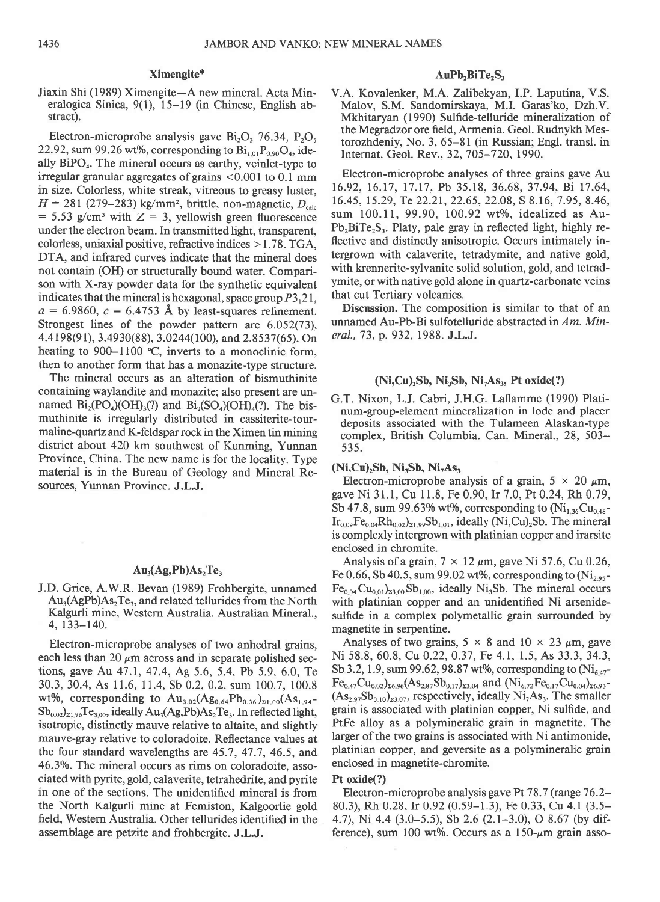### Ximengite\*

Jiaxin Shi (1989) Ximengite-A new mineral. Acta Mineralogica Sinica, 9(1), 15-19 (in Chinese, English abstract).

Electron-microprobe analysis gave  $Bi_2O_2$ , 76.34, P<sub>2</sub>O<sub>s</sub> 22.92, sum 99.26 wt%, corresponding to  $Bi<sub>1.01</sub>P<sub>0.90</sub>O<sub>4</sub>$ , ideally  $BiPO<sub>4</sub>$ . The mineral occurs as earthy, veinlet-type to irregular granular aggregates of grains <0.001 to 0.1 mm in size. Colorless, white streak, vitreous to greasy luster,  $H = 281$  (279–283) kg/mm<sup>2</sup>, brittle, non-magnetic,  $D_{\text{cyl}}$  $= 5.53$  g/cm<sup>3</sup> with  $Z = 3$ , yellowish green fluorescence under the electron beam. In transmitted light, transparent, colorless, uniaxial positive, refractive indices > 1.78. TGA, DTA, and infrared curves indicate that the mineral does not contain (OH) or structurally bound water. Comparison with X-ray powder data for the synthetic equivalent indicates that the mineral is hexagonal, space group  $P3,21$ ,  $a = 6.9860$ ,  $c = 6.4753$  Å by least-squares refinement. Strongest lines of the powder pattern are 6.052(73), 4.4 19 8(9 l), 3.49 30(8 8), 3.0244(100), and 2. 8 5 3 7(6 5). On heating to 900–1100 °C, inverts to a monoclinic form, then to another form that has a monazite-type structure.

The mineral occurs as an alteration of bismuthinite containing waylandite and monazite; also present are unnamed  $Bi_2(PO_4)(OH)_3(?)$  and  $Bi_2(SO_4)(OH)_4(?)$ . The bismuthinite is irregularly distributed in cassiterite-tourmaline-quartz and K-feldspar rock in the Ximen tin mining district about 420 km southwest of Kunming, Yunnan Province, China. The new name is for the locality. Type material is in the Bureau of Geology and Mineral Resources, Yunnan Province. J.L.J.

## $Au_3(Ag_1Pb)As_2Te_3$

J.D. Grice, A.W.R. Bevan (1989) Frohbergite, unnamed  $Au_3(AgPb)As_2Te_3$ , and related tellurides from the North Kalgurli mine, Western Australia. Australian Mineral.,  $4, 133 - 140.$ 

Electron-microprobe analyses of two anhedral grains, each less than 20  $\mu$ m across and in separate polished sections, gave Au 47.1, 47.4, Ag 5.6, 5.4, Pb 5.9, 6.0, Te 30.3,30.4, As 11.6, 11.4, Sb 0.2,0.2, sum 100.7, 100.8 wt%, corresponding to  $Au_{3.02}(Ag_{0.64}Pb_{0.36})_{21.00}(As_{1.94} Sb_{0.02}$ <sub>21.96</sub>Te<sub>3,00</sub>, ideally Au<sub>3</sub>(Ag,Pb)As<sub>2</sub>Te<sub>3</sub>. In reflected light, isotropic, distinctly mauve relative to altaite, and slightly mauve-gray relative to coloradoite. Reflectance values at the four standard wavelengths are 45.7, 47.7,46.5, and 46.3%. The mineral occurs as rims on coloradoite, associated with pyrite, gold, calaverite, tetrahedrite, and pyrite in one of the sections. The unidentified mineral is from the North Kalgurli mine at Femiston, Kalgoorlie gold field, Western Australia. Other tellurides identified in the assemblage are petzite and frohbergite. J.L.J.

## AuPb,BiTe,S.

V.A. Kovalenker, M.A. Tallbekyan, I.P. Laputina, V.S. Malov, S.M. Sandomirskaya, M.I. Garas'ko, Dzh.V. Mkhitaryan (1990) Sulfide-telluride mineralization of the Megradzor ore field, Armenia. Geol. Rudnykh Mestorozhdeniy, No. 3,65-81 (in Russian; Engl. transl. in Internat. Geol. Rev., 32,705-720, 1990.

Electron-microprobe analyses of three grains gave Au 16.92, 16.17, 17.17, Pb 35.18, 36.68, 37.94, Bi 17.64, 16.45, 15.29, Te 22.21, 22.65, 22.08, S 8.16, 7.95, 8.46, sum 100.11, 99.90, 100.92 wt%, idealized as Au- $Pb_2BiTe_2S_3$ . Platy, pale gray in reflected light, highly reflective and distinctly anisotropic. Occurs intimately intergrown with calaverite, tetradymite, and native gold, with krennerite-sylvanite solid solution, gold, and tetradymite, or with native gold alone in quartz-carbonate veins that cut Tertiary volcanics.

Discussion. The composition is similar to that of an unnamed Au-Pb-Bi sulfotelluride abstracted in Am. Mineral., 73, p. 932, 1988. J.L.J.

## $(Ni, Cu)<sub>2</sub>Sb, Ni<sub>3</sub>Sb, Ni<sub>7</sub>As<sub>3</sub>, Pt oxide(?)$

G.T. Nixon, L.J. Cabri, J.H.G. Laflamme (1990) Platinum-group-element mineralization in lode and placer deposits associated with the Tulameen Alaskan-type complex, British Columbia. Can. Mineral., 28, 503- 535.

### $(Ni, Cu), Sb, Ni, Sb, Ni, As,$

Electron-microprobe analysis of a grain,  $5 \times 20 \mu m$ , gave Ni 31.1, Cu 11.8, Fe 0.90, Ir 7.0, Pt 0.24, Rh 0.79, Sb 47.8, sum 99.63% wt%, corresponding to  $(Ni_{1,36}Cu_{0,48}$ - $Ir_{0.09}Fe_{0.04}Rh_{0.02}$ <sub> $z_1$ ,  $99Sb_{1.01}$ , ideally (Ni,Cu)<sub>2</sub>Sb. The mineral</sub> is complexly intergrown with platinian copper and irarsite enclosed in chromite.

Analysis of a grain,  $7 \times 12 \mu m$ , gave Ni 57.6, Cu 0.26, Fe 0.66, Sb 40.5, sum 99.02 wt%, corresponding to  $(Ni_{2.95} Fe<sub>0.04</sub> Cu<sub>0.01</sub>  $\Sigma_{3.00}$  Sb<sub>1.00</sub>, ideally Ni<sub>3</sub>Sb. The mineral occurs$ with platinian copper and an unidentified Ni arsenidesulfide in a complex polymetallic grain surrounded by magnetite in serpentine.

Analyses of two grains,  $5 \times 8$  and  $10 \times 23$   $\mu$ m, gave Ni 58.8, 60.8, Cu 0.22, 0.37, Fe 4.1, 1.5, As 33.3, 34.3, Sb 3.2, 1.9, sum 99.62, 98.87 wt%, corresponding to  $(Ni_{6.47} Fe_{0.47}Cu_{0.02}$ )<sub>26.96</sub>(As<sub>2.87</sub>Sb<sub>0.17</sub>)<sub>23.04</sub> and (Ni<sub>6.72</sub>Fe<sub>0.17</sub>Cu<sub>0.04</sub>)<sub>26.93</sub>- $(As<sub>2.97</sub>Sb<sub>0.10</sub>)<sub>23.07</sub>$ , respectively, ideally Ni<sub>7</sub>As<sub>3</sub>. The smaller grain is associated with platinian copper, Ni sulfide, and PtFe alloy as a polymineralic grain in magnetite. The larger of the two grains is associated with Ni antimonide, platinian copper, and geversite as a polymineralic grain enclosed in magnetite-chromite.

#### Ft oxide(?)

Electron-microprobe analysis gave Pt  $78.7$  (range  $76.2-$ 80.3), Rh 0.28, Ir 0.92 (0.59-1.3), Fe 0.33, Cu 4.1 (3.5- 4.7), Ni 4.4 (3.0-5.5), Sb 2.6 (2.1-3.0), O 8.67 (by difference), sum 100 wt%. Occurs as a  $150-\mu m$  grain asso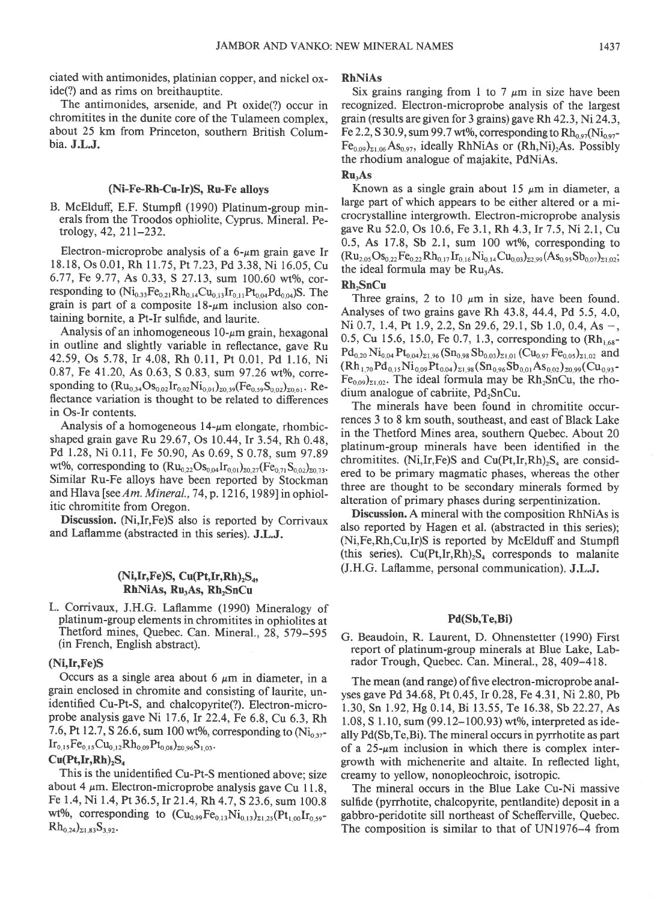ciated with antimonides, platinian copper, and nickel oxide(?) and as rims on breithauptite.

The antimonides, arsenide, and Pt oxide(?) occur in chromitites in the dunite core of the Tulameen complex, about 25 km from Princeton, southern British Columbia. J.L.J.

#### (Ni-Fe-Rh-Cu-Ir)S, Ru-Fe alloys

B. McElduff, E.F. Stumpfl (1990) Platinum-group minerals from the Troodos ophiolite, Cyprus. Mineral. Petrology, 42,211-232.

Electron-microprobe analysis of a  $6-\mu m$  grain gave Ir 18.18, Os 0.01, Rh 11.75, Pt 7.23, Pd 3.38, Ni 16.05, Cu 6.77, Fe 9.77, As 0.33, S 27.13, sum 100.60 wt%, corresponding to  $(Ni_{0.33}Fe_{0.21}Rh_{0.14}Cu_{0.13}Ir_{0.11}Pt_{0.04}Pd_{0.04})S$ . The grain is part of a composite  $18-\mu m$  inclusion also containing bornite, a Pt-Ir sulfide, and laurite.

Analysis of an inhomogeneous  $10$ - $\mu$ m grain, hexagonal in outline and slightly variable in reflectance, gave Ru 42.59, Os 5.78, Ir 4.08, Rh 0.11, Pt 0.01, Pd 1.16, Ni 0.87, Fe 41.20, As 0.63, S 0.83, sum 97.26 wt%, corresponding to  $(Ru_{0,34}Os_{0,02}Ir_{0,02}Ni_{0,01})_{20,39}(Fe_{0,59}S_{0,02})_{20,61}$ . Reflectance variation is thought to be related to differences in Os-Ir contents.

Analysis of a homogeneous  $14-\mu m$  elongate, rhombicshaped grain gave Ru 29.67, Os 10.44, lr 3.54, Rh 0.48, Pd 1.28, Ni 0.11, Fe 50.90, As 0.69, S 0.78, sum 97.89 wt%, corresponding to  $(Ru_{0.22}Os_{0.04}Ir_{0.01})_{20.27}(Fe_{0.71}S_{0.02})_{20.73}$ . Similar Ru-Fe alloys have been reported by Stockman and Hlava [see Am. Mineral., 74, p. 1216, 1989] in ophiolitic chromitite from Oregon.

Discussion. (Ni, Ir, Fe)S also is reported by Corrivaux and Laflamme (abstracted in this series). J.L.J.

## $(Ni,Ir,Fe)S, Cu(Pt,Ir,Rh),S<sub>a</sub>,$ RhNiAs, Ru<sub>3</sub>As, Rh<sub>2</sub>SnCu

L. Corrivaux, J.H.G. Laflamme (1990) Mineralogy of platinum-group elements in chromitites in ophiolites at Thetford mines, Quebec. Can. Mineral.,28, 579-595 (in French, English abstract).

## (Ni,Ir,Fe)S

Occurs as a single area about 6  $\mu$ m in diameter, in a grain enclosed in chromite and consisting of laurite, unidentified Cu-Pt-S, and chalcopyrite(?). Electron-microprobe analysis gave Ni  $17.6$ , Ir  $22.4$ , Fe 6.8, Cu 6.3, Rh 7.6, Pt 12.7, S 26.6, sum 100 wt%, corresponding to  $(Ni_{0.37}$ - $Ir_{0,15}Fe_{0,15}Cu_{0,12}Rh_{0,09}Pt_{0,08}S_{20,96}S_{1,03}$ 

## $Cu(Pt,Ir,Rh)$ , $S_4$

This is the unidentified Cu-Pt-S mentioned above; size about 4  $\mu$ m. Electron-microprobe analysis gave Cu 11.8, Fe 1.4, Ni 1.4, Pt 36.5, Ir 21.4, Rh 4.7, S 23.6, sum 100.8 wt%, corresponding to  $(Cu_{0.99}Fe_{0.13}Ni_{0.13})_{z_{1.25}}(Pt_{1.00}Ir_{0.59} Rh_{0,24})_{\Sigma1.83} S_{3.92}.$ 

#### RhNiAs

Six grains ranging from 1 to 7  $\mu$ m in size have been recognized. Electron-microprobe analysis of the largest grain (results are given for 3 grains) gave Rh 42.3,Ni24.3, Fe 2.2, S 30.9, sum 99.7 wt%, corresponding to  $Rh_{0.97}Ni_{0.97}$  $[Fe_{0.09}]_{\Sigma1.06}$  As<sub>0.97</sub>, ideally RhNiAs or (Rh,Ni)<sub>2</sub>As. Possibly the rhodium analogue of majakite, PdNiAs.

## Ru.As

Known as a single grain about  $15 \mu m$  in diameter, a large part of which appears to be either altered or a microcrystalline intergrowth. Electron-microprobe analysis gave Ru 52.0, Os 10.6, Fe 3.1, Rh 4.3,Ir 7.5, Ni 2.1, Cu  $0.5$ , As  $17.8$ , Sb  $2.1$ , sum  $100$  wt%, corresponding to  $(Ru_{2.05} Os_{0.22}Fe_{0.22}Rh_{0.17}Ir_{0.16}Ni_{0.14}Cu_{0.03}C_{2.99}(As_{0.95}Sb_{0.07})_{21.02};$ the ideal formula may be  $Ru<sub>3</sub>As$ .

## Rh<sub>2</sub>SnCu

Three grains, 2 to 10  $\mu$ m in size, have been found. Analyses of two grains gave Rh  $43.8$ ,  $44.4$ , Pd  $5.5$ ,  $4.0$ , Ni 0.7, 1.4, Pt 1.9, 2.2, Sn 29.6, 29.1, Sb 1.0, 0.4, As  $-$ , 0.5, Cu 15.6, 15.0, Fe 0.7, 1.3, corresponding to  $(Rh_{1.68}$  $Pd_{0,20}$   $Ni_{0,04}$   $Pt_{0,04}$ <sub> $21,96$ </sub>  $(Sn_{0,98}$   $Sb_{0,03})_{21,01}$   $(Cu_{0,97}$   $Fe_{0,05})_{21,02}$  and  $(\text{Rh}_{1,70}\text{Pd}_{0,15}\text{Ni}_{0,09}\text{Pt}_{0,04})_{\geq 1,98}(\text{Sn}_{0,96}\text{Sb}_{0,01}\text{As}_{0,02})_{\geq 0,99}(\text{Cu}_{0,93}$  $Fe_{0.09}$ <sub>21.02</sub>. The ideal formula may be  $Rh_2SnCu$ , the rhodium analogue of cabriite, Pd<sub>2</sub>SnCu.

The minerals have been found in chromitite occurrences 3 to 8 km south, southeast, and east of Black Lake in the Thetford Mines area, southern Quebec. About 20 platinum-group minerals have been identified in the chromitites. (Ni, Ir, Fe)S and Cu(Pt, Ir, Rh) $_2$ S<sub>s</sub> are considered to be primary magmatic phases, whereas the other three are thought to be secondary minerals formed by alteration of primary phases during serpentinization.

Discussion. A mineral with the composition RhNiAs is also reported by Hagen et al. (abstracted in this series); (Ni,Fe,Rh,Cu,Ir)S is reported by McElduff and Stumpfl (this series).  $Cu(Pt, Ir, Rh)_{2}S_{4}$  corresponds to malanite (J.H.G. Laflamme, personal communication). J.L.J.

#### Pd(Sb,Te,Bi)

G. Beaudoin, R. Laurent, D. Ohnenstetter (1990) First report of platinum-group minerals at Blue Lake, Labrador Trough, Quebec. Can. Mineral., 28, 409-418.

The mean (and range) of five electron-microprobe analyses gave Pd 34.68, Pt 0.45, Ir 0.28, Fe 4.31, Ni 2.80, Pb 1.30, Sn l.92,Hg 0.14, Bi 13.55, Te 16.38, Sb 22.27, As  $1.08$ , S 1.10, sum (99.12–100.93) wt%, interpreted as ideally Pd(Sb,Te,Bi). The mineral occurs in pyrrhotite as part of a  $25-\mu m$  inclusion in which there is complex intergrowth with michenerite and altaite. In reflected light, creamy to yellow, nonopleochroic, isotropic.

The mineral occurs in the Blue Lake Cu-Ni massive sulfide (pyrrhotite, chalcopyrite, pentlandite) deposit in a gabbro-peridotite sill northeast of Schefferville, Quebec. The composition is similar to that of UNl976-4 from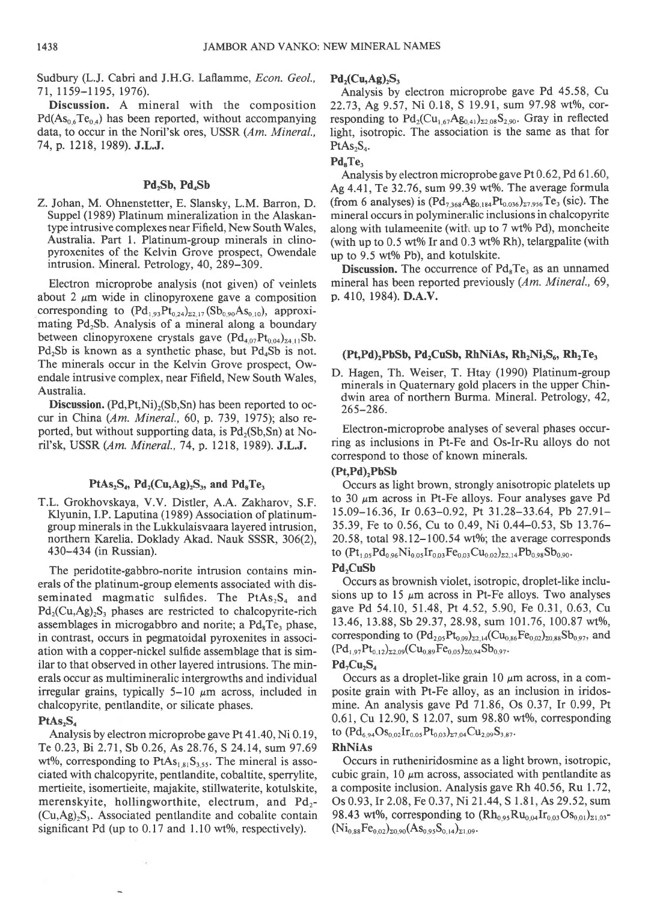Sudbury (L.J. Cabri and J.H.G. Laflamme, Econ. Geol., 71, 1159-1195, 1976).

Discussion. A mineral with the composition  $Pd(As_{0.6}Te_{0.4})$  has been reported, without accompanying data, to occur in the Noril'sk ores, USSR (Am. Mineral., 7 4, p. 1218, 1989). J.L.J.

## Pd<sub>2</sub>Sb, Pd<sub>4</sub>Sb

Z. Johan, M. Ohnenstetter, E. Slansky, L.M. Barron, D. Suppel (1989) Platinum mineralization in the Alaskantype intrusive complexes near Fifield, New South Wales, Australia. Part l. Platinum-group minerals in clinopyroxenites of the Kelvin Grove prospect, Owendale intrusion. Mineral. Petrology, 40, 289-309.

Electron microprobe analysis (not given) of veinlets about 2  $\mu$ m wide in clinopyroxene gave a composition corresponding to  $(Pd_{1,93}Pt_{0,24})_{22,17}$  (Sb<sub>0.90</sub>As<sub>0.10</sub>), approximating  $Pd_2Sb$ . Analysis of a mineral along a boundary between clinopyroxene crystals gave  $(Pd_{4.07}Pt_{0.04})_{24.11}Sb$ .  $Pd_2Sb$  is known as a synthetic phase, but  $Pd_4Sb$  is not. The minerals occur in the Kelvin Grove prospect, Owendale intrusive complex, near Fifield, New South Wales, Australia.

**Discussion.** (Pd, Pt, Ni)<sub>2</sub>(Sb, Sn) has been reported to occur in China (Am. Mineral., 60, p.739, 1975); also reported, but without supporting data, is  $Pd_2(Sb,Sn)$  at Noril'sk, USSR (Am. Mineral.,74, p. 1218, 1989). J.L.J.

#### PtAs<sub>2</sub>S<sub>4</sub>, Pd<sub>2</sub>(Cu,Ag)<sub>2</sub>S<sub>3</sub>, and Pd<sub>8</sub>Te<sub>3</sub>

T.L. Grokhovskaya, V.V. Distler, A.A. Zakharov, S.F. Klyunin, I.P. Laputina (1989) Association of platinumgroup minerals in the Lukkulaisvaara layered intrusion, northern Karelia. Doklady Akad. Nauk SSSR, 306(2), 430-434 (in Russian).

The peridotite-gabbro-norite intrusion contains minerals of the platinum-group elements associated with disseminated magmatic sulfides. The  $PtAs_2S_4$  and  $Pd_2(Cu, Ag)_2S_3$  phases are restricted to chalcopyrite-rich assemblages in microgabbro and norite; a  $Pd_8Te_3$  phase, in contrast, occurs in pegmatoidal pyroxenites in association with a copper-nickel sulfide assemblage that is similar to that observed in other layered intrusions. The minerals occur as multimineralic intergrowths and individual irregular grains, typically  $5-10 \mu m$  across, included in chalcopyrite, pentlandite, or silicate phases.

### $PtAs<sub>2</sub>S<sub>4</sub>$

Analysis by electron microprobe gave Pt 4l .40, Ni 0. 19, Te 0.23, Bi 2.71, Sb 0.26, As 28.76, S 24.14, sum 97.69 wt%, corresponding to  $PtAs<sub>1.81</sub>S<sub>3.55</sub>$ . The mineral is associated with chalcopyrite, pentlandite, cobaltite, sperrylite, mertieite, isomertieite, majakite, stillwaterite, kotulskite, merenskyite, hollingworthite, electrum, and  $Pd_2$ - $(Cu, Ag)<sub>2</sub>S<sub>3</sub>$ . Associated pentlandite and cobalite contain significant Pd (up to  $0.17$  and  $1.10$  wt%, respectively).

#### $Pd_2(Cu, Ag)_{2}S_3$

Analysis by electron microprobe gave Pd 45.58, Cu 22.73, Ag 9.57, Ni 0.18, S 19.91, sum 97.98 wt%, corresponding to  $Pd_2(Cu_{1,67}Ag_{0,41})_{\Sigma2,08}S_{2,90}$ . Gray in reflected light, isotropic. The association is the same as that for  $PtAs<sub>2</sub>S<sub>4</sub>$ .

### $Pd<sub>s</sub>Te<sub>3</sub>$

Analysis by electron microprobe gave Pt 0.62, Pd 61.60, Ag 4.41, Te 32.76, sum 99.39 wt%. The average formula (from 6 analyses) is  $(Pd_{7,368}Ag_{0.184}Pt_{0.036})_{27,956}Te_3$  (sic). The mineral occurs in polymineralic inclusions in chalcopyrite along with tulameenite (with up to 7 wt% Pd), moncheite (with up to  $0.5$  wt% Ir and  $0.3$  wt% Rh), telargpalite (with up to 9.5 wt% Pb), and kotulskite.

Discussion. The occurrence of  $Pd<sub>8</sub>Te<sub>3</sub>$  as an unnamed mineral has been reported previously (Am. Mineral., 69, p. 410, 1984). D.A.V.

## $(Pt, Pd)$ , $PbSb$ ,  $Pd$ , $CuSb$ ,  $RhNiAs$ ,  $Rh, Ni$ , $S_6$ ,  $Rh, Te$ ,

D. Hagen, Th. Weiser, T. Htay (1990) Platinum-group minerals in Quaternary gold placers in the upper Chindwin area of northern Burma. Mineral. Petrology, 42, 265-286.

Electron-microprobe analyses of several phases occurring as inclusions in Pt-Fe and Os-Ir-Ru alloys do not correspond to those of known minerals.

## (Pt,Pd),PbSb

Occurs as light brown, strongly anisotropic platelets up to 30  $\mu$ m across in Pt-Fe alloys. Four analyses gave Pd 15.09-16.36, Ir 0.63-0.92, Pt 31.28-33.64, Pb 27.91- 35.39, Fe ro 0.56, Cu to 0.49, Ni 0.44-0.53, Sb 13.76-  $20.58$ , total  $98.12 - 100.54$  wt%; the average corresponds to  $(Pt_{1.05}Pd_{0.96}Ni_{0.05}Ir_{0.03}Fe_{0.03}Cu_{0.02})_{22.14}Pb_{0.98}Sb_{0.90}$ .

### Pd<sub>,</sub>CuSb

Occurs as brownish violet, isotropic, droplet-like inclusions up to 15  $\mu$ m across in Pt-Fe alloys. Two analyses gave Pd 54.10, 51.48, Pr 4.52,5.90, Fe 0.31, 0.63, Cu 13.46, 13.88, Sb 29.37, 28.98, sum 101.76, 100.87 wt%, corresponding to  $(\text{Pd}_{2.05}\text{Pt}_{0.09})_{22,14}(\text{Cu}_{0.86}\text{Fe}_{0.02})_{20.88}\text{Sb}_{0.97}$ , and  $(Pd_{1.97}Pt_{0.12})_{\Sigma2.09}(Cu_{0.89}Fe_{0.05})_{\Sigma0.94}Sb_{0.97}.$ 

## $Pd$ <sub>r</sub>Cu<sub>r</sub>S<sub>4</sub>

Occurs as a droplet-like grain 10  $\mu$ m across, in a composite grain with Pt-Fe alloy, as an inclusion in iridosmine. An analysis gave Pd 71.86, Os 0.37, Ir 0.99, Pt  $0.61$ , Cu 12.90, S 12.07, sum 98.80 wt%, corresponding to  $(\text{Pd}_{6.94}\text{Os}_{0.02}\text{Ir}_{0.05}\text{Pt}_{0.03})_{27.04}\text{Cu}_{2.09}\text{S}_{3.87}.$ 

#### RhNiAs

Occurs in rutheniridosmine as a light brown, isotropic, cubic grain, 10  $\mu$ m across, associated with pentlandite as a composite inclusion. Analysis gave Rh 40.56, Ru 1.72, Os 0.93,Ir 2.08, Fe 0.37, Ni 21.44, S 1.81, As 29.52, sum 98.43 wt%, corresponding to  $(Rh_{0.95}Ru_{0.04}Ir_{0.03}Os_{0.01})_{\Sigma1.03}$ - $(Ni_{0.88}Fe_{0.02})_{z0.90}(As_{0.95}S_{0.14})_{z1.09}$ .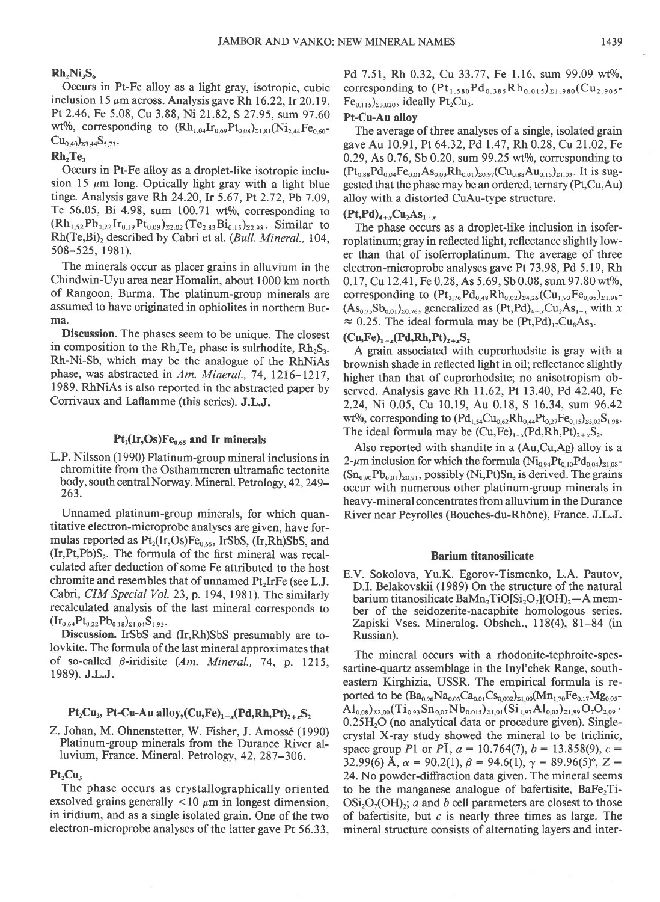## $Rh_2Ni_3S_6$

Occurs in Pt-Fe alloy as a light gray, isotropic, cubic inclusion 15  $\mu$ m across. Analysis gave Rh 16.22, Ir 20.19, Pt 2.46, Fe 5.08, Cu 3.88, Ni 21.82, S 27.95, sum 97.60 wt%, corresponding to  $(Rh_{1.04}Ir_{0.69}Pt_{0.08})_{\Sigma1.81} (Ni_{2.44}Fe_{0.60}$ - $Cu_{0.40}z_{3.44}S_{5.73}$ .

## Rh<sub>-Te</sub>

Occurs in Pt-Fe alloy as a droplet-like isotropic inclusion 15  $\mu$ m long. Optically light gray with a light blue tinge. Analysis gave Rh 24.20, Ir 5.67, Pt 2.72, Pb 7.09, Te 56.05, Bi 4.98, sum  $100.71$  wt%, corresponding to  $(Rh_{1,52}Pb_{0,22}Ir_{0,19}Pt_{0,09})_{22,02}(Te_{2,83}Bi_{0,15})_{22,98}$ . Similar to Rh(Te,Bi), described by Cabri et al. (Bull. Mineral., 104, 508-525, l98l).

The minerals occur as placer grains in alluvium in the Chindwin-Uyu area near Homalin, about 1000 km north of Rangoon, Burma. The platinum-group minerals are assumed to have originated in ophiolites in northern Burma.

Discussion. The phases seem to be unique. The closest in composition to the  $Rh<sub>2</sub>Te<sub>1</sub>$  phase is sulrhodite,  $Rh<sub>2</sub>S<sub>3</sub>$ . Rh-Ni-Sb, which may be the analogue of the RhNiAs phase, was abstracted in Am. Mineral., 74, 1216-1217, 1989. RhNiAs is also reported in the abstracted paper by Corrivaux and Laflamme (this series). J.L.J.

## $Pt_2(Ir, Os)Fe<sub>0.65</sub>$  and Ir minerals

L.P. Nilsson (1990) Platinum-group mineral inclusions in chromitite from the Osthammeren ultramafic tectonite body, south central Norway. Mineral. Petrology, 42, 249- 263.

Unnamed platinum-group minerals, for which quantitative electron-microprobe analyses are given, have formulas reported as  $Pt_2(Ir, Os)Fe_{0.65}$ , IrSbS, (Ir,Rh)SbS, and  $(Ir, Pt, Pb)S<sub>2</sub>$ . The formula of the first mineral was recalculated after deduction of some Fe attributed to the host chromite and resembles that of unnamed  $Pt<sub>2</sub>IrFe$  (see L.J. Cabri, CIM Special Vol. 23, p. 194, 1981). The similarly recalculated analysis of the last mineral corresponds to  $(Ir_{0.64}Pt_{0.22}Pb_{0.18})_{\Sigma1.04}S_{1.95}$ 

Discussion. IrSbS and (Ir,Rh)SbS presumably are tolovkite. The formula of the last mineral approximates that of so-called  $\beta$ -iridisite (Am. Mineral., 74, p. 1215, 1989). J.LJ.

## $Pt<sub>2</sub>Cu<sub>3</sub>$ , Pt-Cu-Au alloy,(Cu,Fe)<sub>1-x</sub>(Pd,Rh,Pt)<sub>2+r</sub>S<sub>2</sub>

## Z. Johan, M. Ohnenstetter, W. Fisher, J. Amossé (1990) Platinum-group minerals from the Durance River alluvium, France. Mineral. Petrology, 42, 287–306.

## $Pt_2Cu_3$

The phase occurs as crystallographically oriented exsolved grains generally  $<$ 10  $\mu$ m in longest dimension, in iridium, and as a single isolated grain. One of the two electron-microprobe analyses of the latter gave Pt 56.33, Pd 7.51, Rh 0.32, Cu 33.77, Fe 1.16, sum 99.09 wt%, corresponding to  $(Pt_{1,580}Pd_{0,385}Rh_{0,015})_{\Sigma1,980}(Cu_{2,905} Fe<sub>0.115</sub>$ )<sub>23.020</sub>, ideally Pt<sub>2</sub>Cu<sub>3</sub>.

## Pt-Cu-Au alloy

The average of three analyses of a single, isolated grain gave Au 10.91, Pt 64.32, Pd 1.47, Rh 0.28, Cu 21.02, Fe 0.29, As  $0.76$ , Sb  $0.20$ , sum  $99.25$  wt%, corresponding to  $(Pt_{0.88}Pd_{0.04}Fe_{0.01}As_{0.03}Rh_{0.01})_{z0.97}(Cu_{0.88}Au_{0.15})_{z1.03}$ . It is suggested that the phase may be an ordered, ternary (Pt,Cu,Au) alloy with a distorted CuAu-type structure.

### $(Pt, Pd)_{4+x} Cu_2 As_{1-x}$

The phase occurs as a droplet-like inclusion in isoferroplatinum; gray in reflected light, reflectance slightly lower than that of isoferroplatinum. The average of three electron-microprobe analyses gave Pt 73.98, Pd 5.19, Rh 0.17, Cu 12.41, Fe 0.28, As 5.69, Sb 0.08, sum 97.80 wt%, corresponding to  $(\text{Pt}_{3.76}\text{Pd}_{0.48}\text{Rh}_{0.02})_{\Sigma4.26}(\text{Cu}_{1.93}\text{Fe}_{0.05})_{\Sigma1.98}$  $(As<sub>0.75</sub>Sb<sub>0.01</sub>)<sub>z0.76</sub>$ , generalized as  $(Pt, Pd)<sub>4+x</sub>Cu<sub>2</sub>As<sub>1-x</sub> with x$  $\approx 0.25$ . The ideal formula may be  $(Pt, Pd)_{17}Cu_{8}As_{17}$ .

# $(Cu,Fe)_{1-x}(Pd,Rh,Pt)_{2+x}S_2$

A grain associated with cuprorhodsite is gray with a brownish shade in reflected light in oil; reflectance slightly higher than that of cuprorhodsite; no anisotropism observed. Analysis gave Rh  $11.62$ , Pt  $13.40$ , Pd  $42.40$ , Fe 2.24,Ni 0.05, Cu 10.19, Au 0.18, S 16.34, sum 96.42 wt%, corresponding to  $(Pd_{1.54}Cu_{0.62}Rh_{0.44}Pt_{0.27}Fe_{0.15})_{23.02}S_{1.98}$ . The ideal formula may be  $(Cu,Fe)_{1-x}(Pd,Rh,Pt)_{2+x}S_2$ .

Also reported with shandite in a (Au,Cu,Ag) alloy is a 2- $\mu$ m inclusion for which the formula (Ni<sub>0.94</sub>Pt<sub>0.10</sub>Pd<sub>0.04</sub>)<sub>21.08</sub>- $(Sn_{0.90}Pb_{0.01})_{z0.91}$ , possibly (Ni,Pt)Sn, is derived. The grains occur with numerous other platinum-group minerals in heavy-mineral concentrates from alluvium in the Durance River near Peyrolles (Bouches-du-Rhône), France. J.L.J.

### Barium titanosilicate

E.V. Sokolova, Yu.K. Egorov-Tismenko, L.A. Pautov, D.I. Belakovskii (1989) On the structure of the natural barium titanosilicate BaMn<sub>2</sub>TiO[Si<sub>2</sub>O<sub>7</sub>](OH)<sub>2</sub> $-A$  member of the seidozerite-nacaphite homologous series. Zapiski Vses. Mineralog. Obshch., 118(4), 81-84 (in Russian).

The mineral occurs with a rhodonite-tephroite-spessartine-quartz assemblage in the Inyl'chek Range, southeastern Kirghizia, USSR. The empirical formula is reported to be  $(Ba_{0.96}Na_{0.03}Ca_{0.01}Cs_{0.002})_{\Sigma1,00}(Mn_{1.70}Fe_{0.17}Mg_{0.05}$ - $\mathrm{Al}_{0.08}$ )  $_{22.00}(\mathrm{Ti}_{0.93} \mathrm{Sn}_{0.07} \mathrm{Nb}_{0.015})_{21.01}(\mathrm{Si}_{1.97} \mathrm{Al}_{0.02})_{21.99} \mathrm{O}_7 \mathrm{O}_{2.09}$ .  $0.25H<sub>2</sub>O$  (no analytical data or procedure given). Singlecrystal X-ray study showed the mineral to be triclinic, space group P1 or P1,  $a = 10.764(7)$ ,  $b = 13.858(9)$ ,  $c =$ 32.99(6) Å,  $\alpha = 90.2(1)$ ,  $\beta = 94.6(1)$ ,  $\gamma = 89.96(5)$ °, Z = 24. No powder-diffraction data given. The mineral seems to be the manganese analogue of bafertisite,  $BaFe<sub>2</sub>Ti OSi<sub>2</sub>O<sub>2</sub>(OH)<sub>2</sub>$ ; a and b cell parameters are closest to those of bafertisite, but  $c$  is nearly three times as large. The mineral structure consists of alternating layers and inter